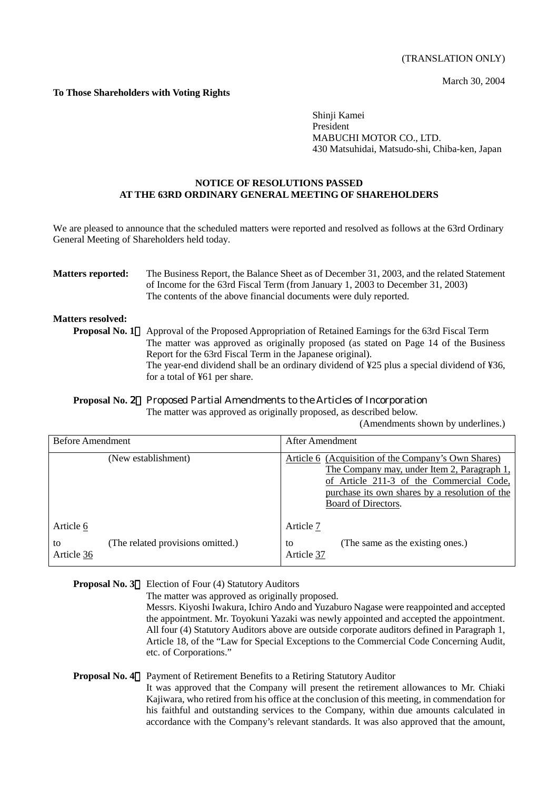March 30, 2004

# **To Those Shareholders with Voting Rights**

Shinji Kamei President MABUCHI MOTOR CO., LTD. 430 Matsuhidai, Matsudo-shi, Chiba-ken, Japan

### **NOTICE OF RESOLUTIONS PASSED AT THE 63RD ORDINARY GENERAL MEETING OF SHAREHOLDERS**

We are pleased to announce that the scheduled matters were reported and resolved as follows at the 63rd Ordinary General Meeting of Shareholders held today.

### **Matters reported:** The Business Report, the Balance Sheet as of December 31, 2003, and the related Statement of Income for the 63rd Fiscal Term (from January 1, 2003 to December 31, 2003) The contents of the above financial documents were duly reported.

## **Matters resolved:**

**Proposal No. 1** Approval of the Proposed Appropriation of Retained Earnings for the 63rd Fiscal Term The matter was approved as originally proposed (as stated on Page 14 of the Business Report for the 63rd Fiscal Term in the Japanese original). The year-end dividend shall be an ordinary dividend of ¥25 plus a special dividend of ¥36, for a total of ¥61 per share.

### **Proposal No.** 2 Proposed Partial Amendments to the Articles of Incorporation The matter was approved as originally proposed, as described below.

(Amendments shown by underlines.)

| <b>Before Amendment</b> |                                   | After Amendment                                                                                                                                                                                                         |
|-------------------------|-----------------------------------|-------------------------------------------------------------------------------------------------------------------------------------------------------------------------------------------------------------------------|
|                         | (New establishment)               | Article 6 (Acquisition of the Company's Own Shares)<br>The Company may, under Item 2, Paragraph 1,<br>of Article 211-3 of the Commercial Code,<br>purchase its own shares by a resolution of the<br>Board of Directors. |
| Article 6               |                                   | Article 7                                                                                                                                                                                                               |
| to<br>Article 36        | (The related provisions omitted.) | (The same as the existing ones.)<br>to<br>Article 37                                                                                                                                                                    |

# **Proposal No. 3** Election of Four (4) Statutory Auditors

The matter was approved as originally proposed.

Messrs. Kiyoshi Iwakura, Ichiro Ando and Yuzaburo Nagase were reappointed and accepted the appointment. Mr. Toyokuni Yazaki was newly appointed and accepted the appointment. All four (4) Statutory Auditors above are outside corporate auditors defined in Paragraph 1, Article 18, of the "Law for Special Exceptions to the Commercial Code Concerning Audit, etc. of Corporations."

# **Proposal No. 4** Payment of Retirement Benefits to a Retiring Statutory Auditor

It was approved that the Company will present the retirement allowances to Mr. Chiaki Kajiwara, who retired from his office at the conclusion of this meeting, in commendation for his faithful and outstanding services to the Company, within due amounts calculated in accordance with the Company's relevant standards. It was also approved that the amount,